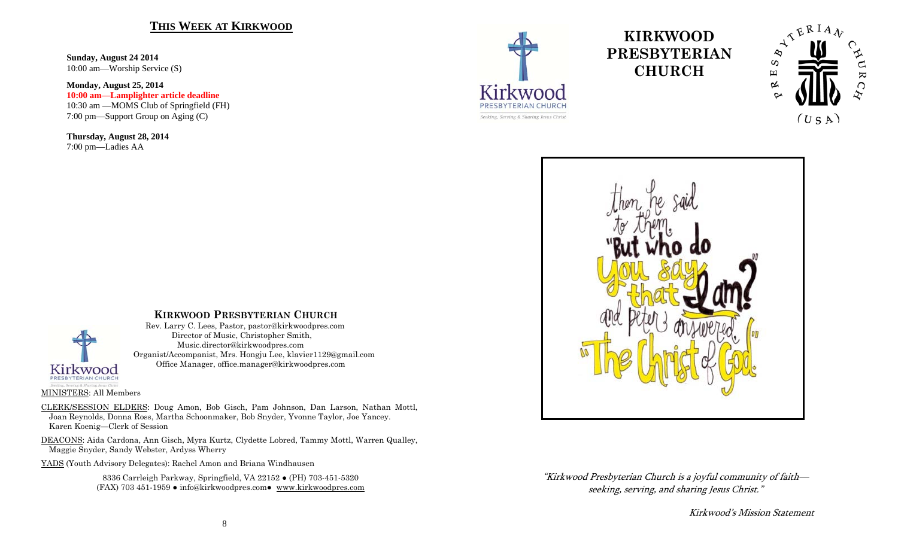### **THIS WEEK AT KIRKWOOD**

**Sunday, August 24 2014**  10:00 am—Worship Service (S)

**Monday, August 25, 2014 10:00 am—Lamplighter article deadline**  10:30 am —MOMS Club of Springfield (FH) 7:00 pm—Support Group on Aging (C)

**Thursday, August 28, 2014**  7:00 pm—Ladies AA



# **KIRKWOOD PRESBYTERIAN CHURCH**





"Kirkwood Presbyterian Church is a joyful community of faith seeking, serving, and sharing Jesus Christ."

Kirkwood's Mission Statement

## **KIRKWOOD PRESBYTERIAN CHURCH**

 Rev. Larry C. Lees, Pastor, pastor@kirkwoodpres.com Director of Music, Christopher Smith, Music.director@kirkwoodpres.com Organist/Accompanist, Mrs. Hongju Lee, klavier1129@gmail.com Office Manager, office.manager@kirkwoodpres.com

MINISTERS: All Members

CLERK/SESSION ELDERS: Doug Amon, Bob Gisch, Pam Johnson, Dan Larson, Nathan Mottl, Joan Reynolds, Donna Ross, Martha Schoonmaker, Bob Snyder, Yvonne Taylor, Joe Yancey. Karen Koenig—Clerk of Session

DEACONS: Aida Cardona, Ann Gisch, Myra Kurtz, Clydette Lobred, Tammy Mottl, Warren Qualley, Maggie Snyder, Sandy Webster, Ardyss Wherry

YADS (Youth Advisory Delegates): Rachel Amon and Briana Windhausen

8336 Carrleigh Parkway, Springfield, VA 22152 ● (PH) 703-451-5320 (FAX) 703 451-1959 ● info@kirkwoodpres.com● www.kirkwoodpres.com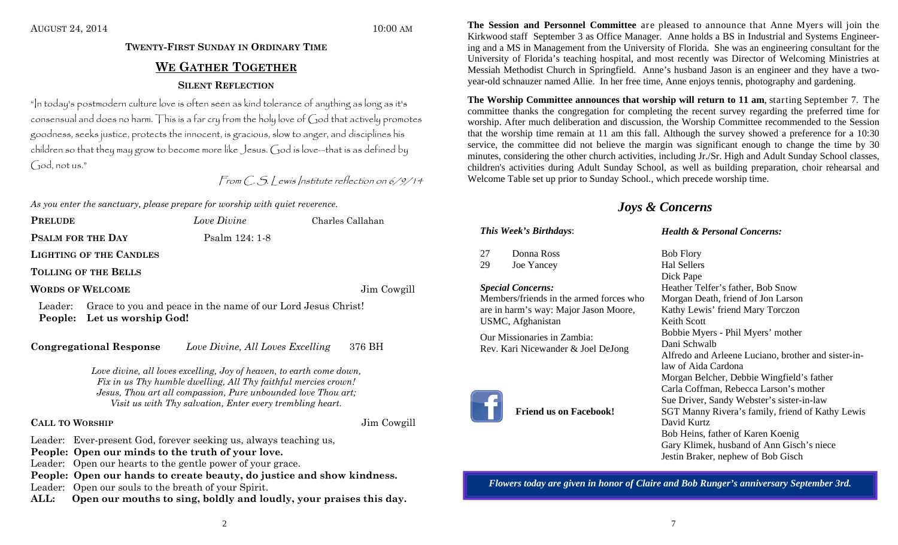# **TWENTY-FIRST SUNDAY IN ORDINARY TIMEWE GATHER TOGETHERSILENT REFLECTION**

"In today's postmodern culture love is often seen as kind tolerance of anything as long as it's consensual and does no harm. This is a far cry from the holy love of God that actively promotes goodness, seeks justice, protects the innocent, is gracious, slow to anger, and disciplines his children so that they may grow to become more like Jesus. God is love—that is as defined by God, not us."

From C. S. Lewis Institute reflection on 6/9/14

*As you enter the sanctuary, please prepare for worship with quiet reverence.* 

| <b>PRELUDE</b>           | Love Divine    | Charles Callahan |
|--------------------------|----------------|------------------|
| <b>PSALM FOR THE DAY</b> | Psalm 124: 1-8 |                  |
| LIGHTING OF THE CANDLES  |                |                  |

**TOLLING OF THE BELLS**

### **WORDS OF WELCOME**

Jim Cowgill

Leader: Grace to you and peace in the name of our Lord Jesus Christ! **People: Let us worship God!** 

**Congregational Response** *Love Divine, All Loves Excelling* 376 BH

*Love divine, all loves excelling, Joy of heaven, to earth come down, Fix in us Thy humble dwelling, All Thy faithful mercies crown! Jesus, Thou art all compassion, Pure unbounded love Thou art; Visit us with Thy salvation, Enter every trembling heart.* 

### **CALL TO**

Jim Cowgill

Leader: Ever-present God, forever seeking us, always teaching us,

**People: Open our minds to the truth of your love.** 

- Leader: Open our hearts to the gentle power of your grace.
- **People: Open our hands to create beauty, do justice and show kindness.**

Leader: Open our souls to the breath of your Spirit.

**ALL: Open our mouths to sing, boldly and loudly, your praises this day.** 

**The Session and Personnel Committee** are pleased to announce that Anne Myers will join the Kirkwood staff September 3 as Office Manager. Anne holds a BS in Industrial and Systems Engineering and a MS in Management from the University of Florida. She was an engineering consultant for the University of Florida's teaching hospital, and most recently was Director of Welcoming Ministries at Messiah Methodist Church in Springfield. Anne's husband Jason is an engineer and they have a twoyear-old schnauzer named Allie. In her free time, Anne enjoys tennis, photography and gardening.

**The Worship Committee announces that worship will return to 11 am**, starting September 7. The committee thanks the congregation for completing the recent survey regarding the preferred time for worship. After much deliberation and discussion, the Worship Committee recommended to the Session that the worship time remain at 11 am this fall. Although the survey showed a preference for a 10:30 service, the committee did not believe the margin was significant enough to change the time by 30 minutes, considering the other church activities, including Jr./Sr. High and Adult Sunday School classes, children's activities during Adult Sunday School, as well as building preparation, choir rehearsal and Welcome Table set up prior to Sunday School., which precede worship time.

# *Joys & Concerns*

### *Health & Personal Concerns:*

27 Donna Ross 29 Joe Yancey

# *Special Concerns:*

*This Week's Birthdays*:

Members/friends in the armed forces who are in harm's way: Major Jason Moore, USMC, Afghanistan

Our Missionaries in Zambia: Rev. Kari Nicewander & Joel DeJong



**Friend us on Facebook!** 

Bob Flory Hal Sellers Dick Pape Heather Telfer's father, Bob Snow Morgan Death, friend of Jon Larson Kathy Lewis' friend Mary Torczon Keith Scott Bobbie Myers - Phil Myers' mother Dani Schwalb Alfredo and Arleene Luciano, brother and sister-inlaw of Aida Cardona Morgan Belcher, Debbie Wingfield's father Carla Coffman, Rebecca Larson's mother Sue Driver, Sandy Webster's sister-in-law SGT Manny Rivera's family, friend of Kathy Lewis David Kurtz Bob Heins, father of Karen Koenig Gary Klimek, husband of Ann Gisch's niece Jestin Braker, nephew of Bob Gisch

*Flowers today are given in honor of Claire and Bob Runger's anniversary September 3rd.*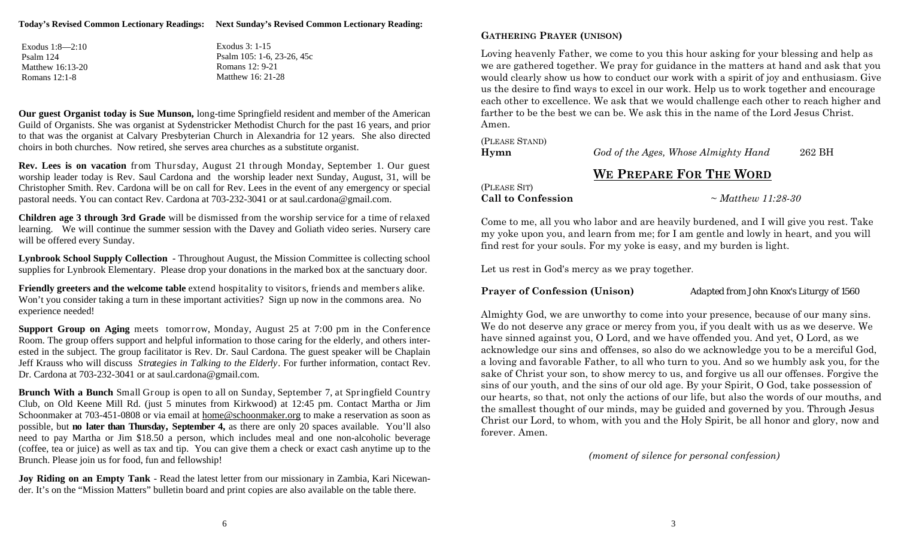| Exodus $1:8-2:10$ |
|-------------------|
| Psalm 124         |
| Matthew 16:13-20  |
| Romans 12:1-8     |

Exodus 3: 1-15 Psalm 105: 1-6, 23-26, 45c Romans 12: 9-21 Matthew 16: 21-28

**Our guest Organist today is Sue Munson,** long-time Springfield resident and member of the American Guild of Organists. She was organist at Sydenstricker Methodist Church for the past 16 years, and prior to that was the organist at Calvary Presbyterian Church in Alexandria for 12 years. She also directed choirs in both churches. Now retired, she serves area churches as a substitute organist.

**Rev. Lees is on vacation** from Thursday, August 21 through Monday, September 1. Our guest worship leader today is Rev. Saul Cardona and the worship leader next Sunday, August, 31, will be Christopher Smith. Rev. Cardona will be on call for Rev. Lees in the event of any emergency or special pastoral needs. You can contact Rev. Cardona at 703-232-3041 or at saul.cardona@gmail.com.

**Children age 3 through 3rd Grade** will be dismissed from the worship service for a time of relaxed learning. We will continue the summer session with the Davey and Goliath video series. Nursery care will be offered every Sunday.

**Lynbrook School Supply Collection** - Throughout August, the Mission Committee is collecting school supplies for Lynbrook Elementary. Please drop your donations in the marked box at the sanctuary door.

**Friendly greeters and the welcome table** extend hospitality to visitors, friends and members alike. Won't you consider taking a turn in these important activities? Sign up now in the commons area. No experience needed!

**Support Group on Aging** meets tomorrow, Monday, August 25 at 7:00 pm in the Conference Room. The group offers support and helpful information to those caring for the elderly, and others interested in the subject. The group facilitator is Rev. Dr. Saul Cardona. The guest speaker will be Chaplain Jeff Krauss who will discuss *Strategies in Talking to the Elderly*. For further information, contact Rev. Dr. Cardona at 703-232-3041 or at saul.cardona@gmail.com.

**Brunch With a Bunch** Small Group is open to all on Sunday, September 7, at Springfield Country Club, on Old Keene Mill Rd. (just 5 minutes from Kirkwood) at 12:45 pm. Contact Martha or Jim Schoonmaker at 703-451-0808 or via email at home@schoonmaker.org to make a reservation as soon as possible, but **no later than Thursday, September 4,** as there are only 20 spaces available. You'll also need to pay Martha or Jim \$18.50 a person, which includes meal and one non-alcoholic beverage (coffee, tea or juice) as well as tax and tip. You can give them a check or exact cash anytime up to the Brunch. Please join us for food, fun and fellowship!

**Joy Riding on an Empty Tank** - Read the latest letter from our missionary in Zambia, Kari Nicewander. It's on the "Mission Matters" bulletin board and print copies are also available on the table there.

### **GATHERING PRAYER (UNISON)**

Loving heavenly Father, we come to you this hour asking for your blessing and help as we are gathered together. We pray for guidance in the matters at hand and ask that you would clearly show us how to conduct our work with a spirit of joy and enthusiasm. Give us the desire to find ways to excel in our work. Help us to work together and encourage each other to excellence. We ask that we would challenge each other to reach higher and farther to be the best we can be. We ask this in the name of the Lord Jesus Christ. Amen.

| (PLEASE STAND) |                     |
|----------------|---------------------|
| $H_{Vmn}$      | $God$ of the $\ell$ |

**Hymn** *God of the Ages, Whose Almighty Hand* 262 BH

## **WE PREPARE FOR THE WORD**

#### (PLEASE SIT) **Call to Confession** ~ *Matthew 11:28-30*

Come to me, all you who labor and are heavily burdened, and I will give you rest. Take my yoke upon you, and learn from me; for I am gentle and lowly in heart, and you will find rest for your souls. For my yoke is easy, and my burden is light.

Let us rest in God's mercy as we pray together.

**Prayer of Confession (Unison)** *Adapted from John Knox's Liturgy of 1560*

Almighty God, we are unworthy to come into your presence, because of our many sins. We do not deserve any grace or mercy from you, if you dealt with us as we deserve. We have sinned against you, O Lord, and we have offended you. And yet, O Lord, as we acknowledge our sins and offenses, so also do we acknowledge you to be a merciful God, a loving and favorable Father, to all who turn to you. And so we humbly ask you, for the sake of Christ your son, to show mercy to us, and forgive us all our offenses. Forgive the sins of our youth, and the sins of our old age. By your Spirit, O God, take possession of our hearts, so that, not only the actions of our life, but also the words of our mouths, and the smallest thought of our minds, may be guided and governed by you. Through Jesus Christ our Lord, to whom, with you and the Holy Spirit, be all honor and glory, now and forever. Amen.

*(moment of silence for personal confession)*